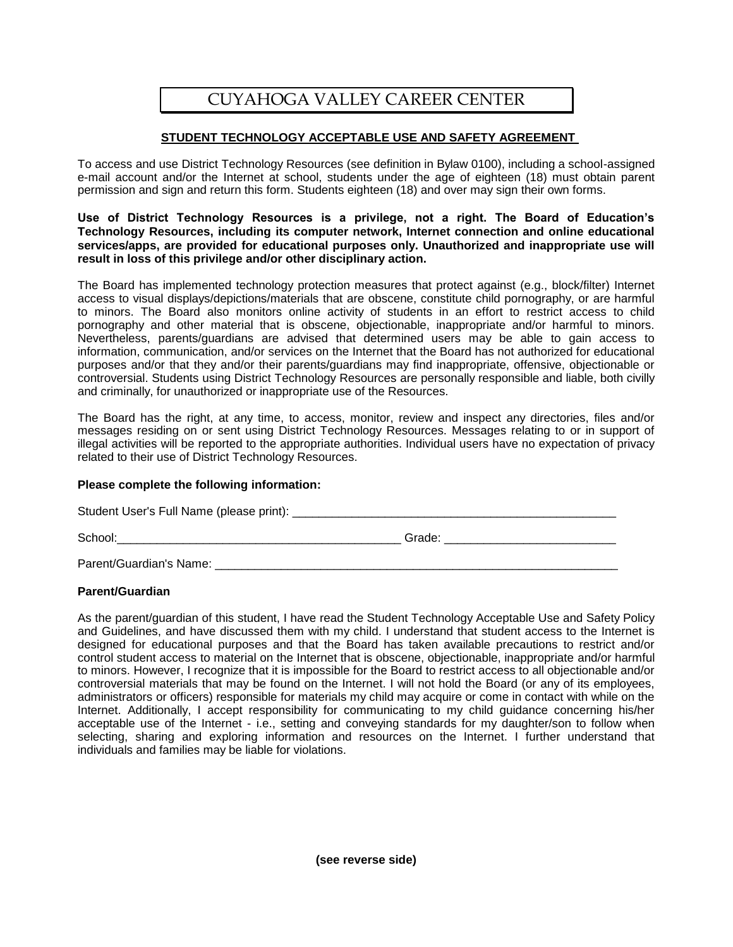# CUYAHOGA VALLEY CAREER CENTER

## **STUDENT TECHNOLOGY ACCEPTABLE USE AND SAFETY AGREEMENT**

To access and use District Technology Resources (see definition in Bylaw 0100), including a school-assigned e-mail account and/or the Internet at school, students under the age of eighteen (18) must obtain parent permission and sign and return this form. Students eighteen (18) and over may sign their own forms.

### **Use of District Technology Resources is a privilege, not a right. The Board of Education's Technology Resources, including its computer network, Internet connection and online educational services/apps, are provided for educational purposes only. Unauthorized and inappropriate use will result in loss of this privilege and/or other disciplinary action.**

The Board has implemented technology protection measures that protect against (e.g., block/filter) Internet access to visual displays/depictions/materials that are obscene, constitute child pornography, or are harmful to minors. The Board also monitors online activity of students in an effort to restrict access to child pornography and other material that is obscene, objectionable, inappropriate and/or harmful to minors. Nevertheless, parents/guardians are advised that determined users may be able to gain access to information, communication, and/or services on the Internet that the Board has not authorized for educational purposes and/or that they and/or their parents/guardians may find inappropriate, offensive, objectionable or controversial. Students using District Technology Resources are personally responsible and liable, both civilly and criminally, for unauthorized or inappropriate use of the Resources.

The Board has the right, at any time, to access, monitor, review and inspect any directories, files and/or messages residing on or sent using District Technology Resources. Messages relating to or in support of illegal activities will be reported to the appropriate authorities. Individual users have no expectation of privacy related to their use of District Technology Resources.

### **Please complete the following information:**

Student User's Full Name (please print): \_\_\_\_\_\_\_\_\_\_\_\_\_\_\_\_\_\_\_\_\_\_\_\_\_\_\_\_\_\_\_\_\_\_\_\_\_\_\_\_\_\_\_\_\_\_\_\_\_

School:\_\_\_\_\_\_\_\_\_\_\_\_\_\_\_\_\_\_\_\_\_\_\_\_\_\_\_\_\_\_\_\_\_\_\_\_\_\_\_\_\_\_\_ Grade: \_\_\_\_\_\_\_\_\_\_\_\_\_\_\_\_\_\_\_\_\_\_\_\_\_\_

Parent/Guardian's Name: \_\_\_\_\_\_\_\_\_\_\_\_\_\_\_\_\_\_\_\_\_\_\_\_\_\_\_\_\_\_\_\_\_\_\_\_\_\_\_\_\_\_\_\_\_\_\_\_\_\_\_\_\_\_\_\_\_\_\_\_\_

## **Parent/Guardian**

As the parent/guardian of this student, I have read the Student Technology Acceptable Use and Safety Policy and Guidelines, and have discussed them with my child. I understand that student access to the Internet is designed for educational purposes and that the Board has taken available precautions to restrict and/or control student access to material on the Internet that is obscene, objectionable, inappropriate and/or harmful to minors. However, I recognize that it is impossible for the Board to restrict access to all objectionable and/or controversial materials that may be found on the Internet. I will not hold the Board (or any of its employees, administrators or officers) responsible for materials my child may acquire or come in contact with while on the Internet. Additionally, I accept responsibility for communicating to my child guidance concerning his/her acceptable use of the Internet - i.e., setting and conveying standards for my daughter/son to follow when selecting, sharing and exploring information and resources on the Internet. I further understand that individuals and families may be liable for violations.